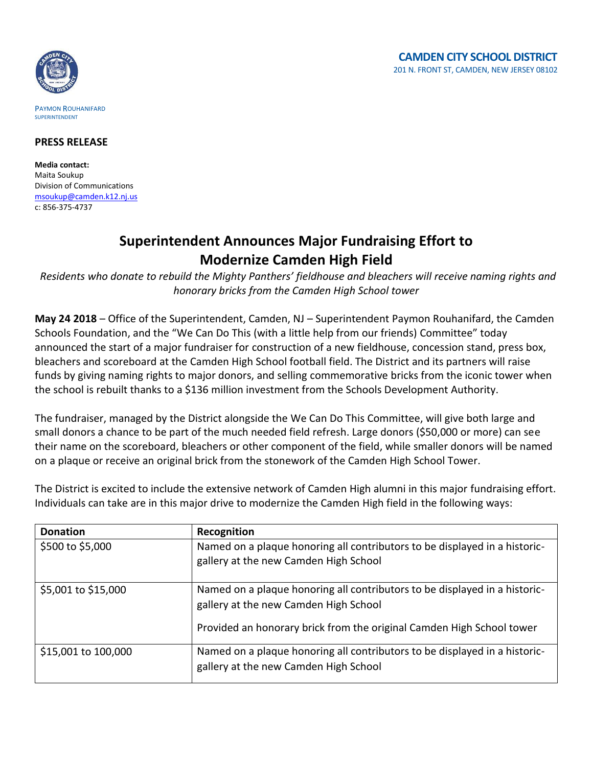

## PAYMON ROUHANIFARD SUPERINTENDENT

## **PRESS RELEASE**

**Media contact:** Maita Soukup Division of Communications [msoukup@camden.k12.nj.us](mailto:msoukup@camden.k12.nj.us) c: 856-375-4737

## **Superintendent Announces Major Fundraising Effort to Modernize Camden High Field**

*Residents who donate to rebuild the Mighty Panthers' fieldhouse and bleachers will receive naming rights and honorary bricks from the Camden High School tower* 

**May 24 2018** – Office of the Superintendent, Camden, NJ – Superintendent Paymon Rouhanifard, the Camden Schools Foundation, and the "We Can Do This (with a little help from our friends) Committee" today announced the start of a major fundraiser for construction of a new fieldhouse, concession stand, press box, bleachers and scoreboard at the Camden High School football field. The District and its partners will raise funds by giving naming rights to major donors, and selling commemorative bricks from the iconic tower when the school is rebuilt thanks to a \$136 million investment from the Schools Development Authority.

The fundraiser, managed by the District alongside the We Can Do This Committee, will give both large and small donors a chance to be part of the much needed field refresh. Large donors (\$50,000 or more) can see their name on the scoreboard, bleachers or other component of the field, while smaller donors will be named on a plaque or receive an original brick from the stonework of the Camden High School Tower.

| <b>Donation</b>     | Recognition                                                                                                                                                                                  |
|---------------------|----------------------------------------------------------------------------------------------------------------------------------------------------------------------------------------------|
| \$500 to \$5,000    | Named on a plaque honoring all contributors to be displayed in a historic-<br>gallery at the new Camden High School                                                                          |
| \$5,001 to \$15,000 | Named on a plaque honoring all contributors to be displayed in a historic-<br>gallery at the new Camden High School<br>Provided an honorary brick from the original Camden High School tower |
| \$15,001 to 100,000 | Named on a plaque honoring all contributors to be displayed in a historic-<br>gallery at the new Camden High School                                                                          |

The District is excited to include the extensive network of Camden High alumni in this major fundraising effort. Individuals can take are in this major drive to modernize the Camden High field in the following ways: